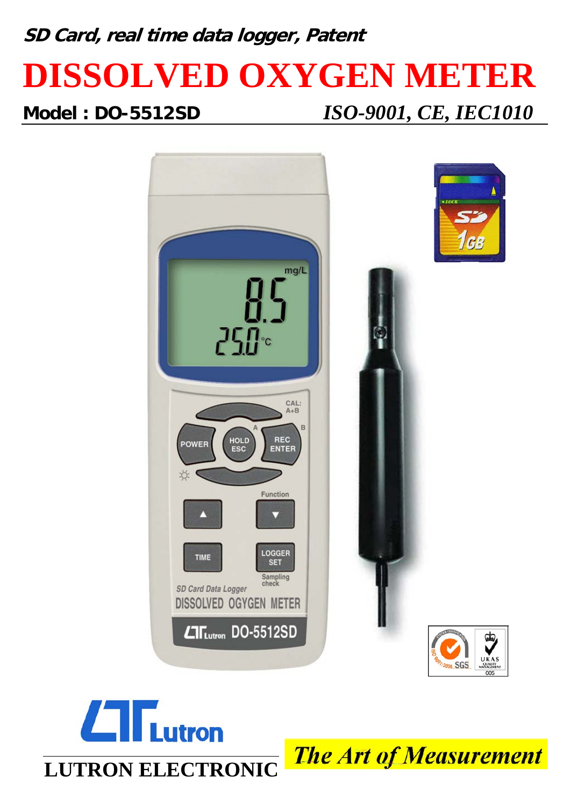**SD Card, real time data logger, Patent**

## **DISSOLVED OXYGEN METER**

**Model : DO-5512SD** *ISO-9001, CE, IEC1010*





**The Art of Measurement**